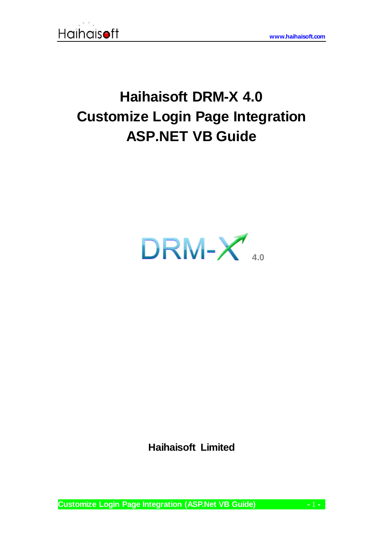

# **Haihaisoft DRM-X 4.0 Customize Login Page Integration ASP.NET VB Guide**



**Haihaisoft Limited**

**Customize Login Page Integration (ASP.Net VB Guide) -** 1 **-**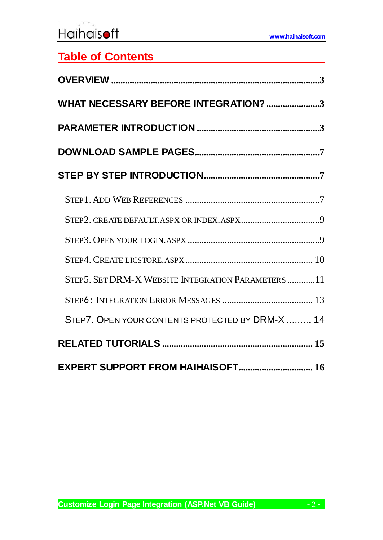**[www.haihaisoft.com](http://www.haihaisoft.com/)**

# **Table of Contents**

| WHAT NECESSARY BEFORE INTEGRATION? 3              |
|---------------------------------------------------|
|                                                   |
|                                                   |
|                                                   |
|                                                   |
|                                                   |
|                                                   |
|                                                   |
| STEP5. SET DRM-X WEBSITE INTEGRATION PARAMETERS11 |
|                                                   |
| STEP7. OPEN YOUR CONTENTS PROTECTED BY DRM-X  14  |
|                                                   |
| EXPERT SUPPORT FROM HAIHAISOFT 16                 |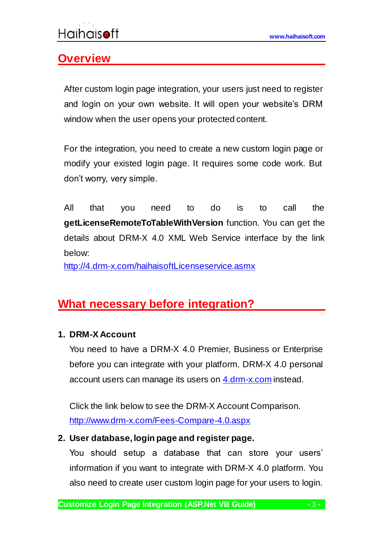# <span id="page-2-0"></span>**Overview**

<span id="page-2-1"></span>After custom login page integration, your users just need to register and login on your own website. It will open your website's DRM window when the user opens your protected content.

For the integration, you need to create a new custom login page or modify your existed login page. It requires some code work. But don't worry, very simple.

All that you need to do is to call the **getLicenseRemoteToTableWithVersion** function. You can get the details about DRM-X 4.0 XML Web Service interface by the link below:

<http://4.drm-x.com/haihaisoftLicenseservice.asmx>

# **What necessary before integration?**

### **1. DRM-X Account**

You need to have a DRM-X 4.0 Premier, Business or Enterprise before you can integrate with your platform. DRM-X 4.0 personal account users can manage its users on [4.drm-x.com](http://4.drm-x.com/) instead.

Click the link below to see the DRM-X Account Comparison. <http://www.drm-x.com/Fees-Compare-4.0.aspx>

#### <span id="page-2-2"></span>**2. User database, login page and register page.**

You should setup a database that can store your users' information if you want to integrate with DRM-X 4.0 platform. You also need to create user custom login page for your users to login.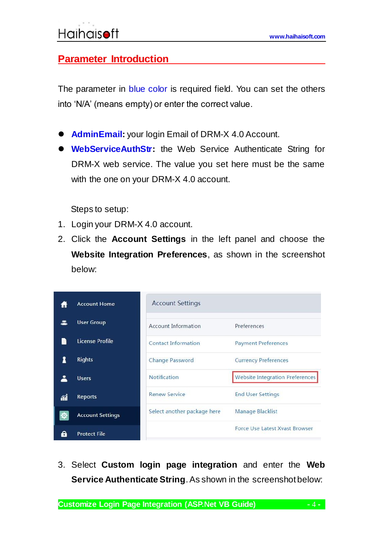## **Parameter Introduction**

The parameter in blue color is required field. You can set the others into 'N/A' (means empty) or enter the correct value.

- **AdminEmail:** your login Email of DRM-X 4.0 Account.
- **WebServiceAuthStr:** the Web Service Authenticate String for DRM-X web service. The value you set here must be the same with the one on your DRM-X 4.0 account.

Steps to setup:

- 1. Login your DRM-X 4.0 account.
- 2. Click the **Account Settings** in the left panel and choose the **Website Integration Preferences**, as shown in the screenshot below:

|    | <b>Account Home</b>     | <b>Account Settings</b>     |                                        |
|----|-------------------------|-----------------------------|----------------------------------------|
|    | <b>User Group</b>       | Account Information         | Preferences                            |
|    | License Profile         | <b>Contact Information</b>  | <b>Payment Preferences</b>             |
|    | <b>Rights</b>           | Change Password             | <b>Currency Preferences</b>            |
|    | <b>Users</b>            | <b>Notification</b>         | <b>Website Integration Preferences</b> |
| ΛÎ | Reports                 | <b>Renew Service</b>        | <b>End User Settings</b>               |
|    | <b>Account Settings</b> | Select another package here | Manage Blacklist                       |
|    | <b>Protect File</b>     |                             | <b>Force Use Latest Xvast Browser</b>  |

3. Select **Custom login page integration** and enter the **Web Service Authenticate String**. As shown in the screenshot below: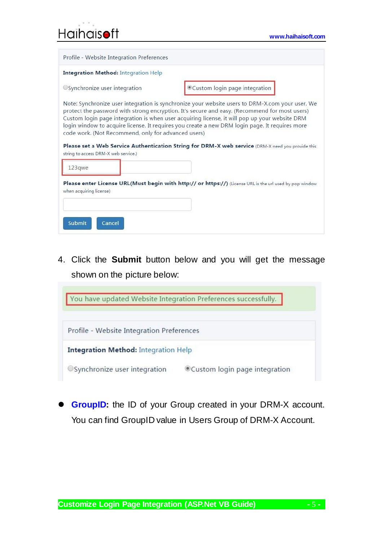| <b>Haihaisoft</b> |  |
|-------------------|--|

| Profile - Website Integration Preferences                                                   |                                                                                                                                                                                                                                                                                                                                                                                                       |
|---------------------------------------------------------------------------------------------|-------------------------------------------------------------------------------------------------------------------------------------------------------------------------------------------------------------------------------------------------------------------------------------------------------------------------------------------------------------------------------------------------------|
| <b>Integration Method: Integration Help</b>                                                 |                                                                                                                                                                                                                                                                                                                                                                                                       |
| OSynchronize user integration                                                               | Custom login page integration                                                                                                                                                                                                                                                                                                                                                                         |
| code work. (Not Recommend, only for advanced users)<br>string to access DRM-X web service.) | protect the password with strong encryption. It's secure and easy. (Recommend for most users)<br>Custom login page integration is when user acquiring license, it will pop up your website DRM<br>login window to acquire license. It requires you create a new DRM login page. It requires more<br>Please set a Web Service Authentication String for DRM-X web service (DRM-X need you provide this |
| 123qwe                                                                                      |                                                                                                                                                                                                                                                                                                                                                                                                       |
| when acquiring license)                                                                     | Please enter License URL(Must begin with http:// or https://) (License URL is the url used by pop window                                                                                                                                                                                                                                                                                              |
| Submit<br>Cancel                                                                            |                                                                                                                                                                                                                                                                                                                                                                                                       |

4. Click the **Submit** button below and you will get the message shown on the picture below:

| Profile - Website Integration Preferences   |                               |
|---------------------------------------------|-------------------------------|
| <b>Integration Method: Integration Help</b> |                               |
| OSynchronize user integration               | Custom login page integration |

 **GroupID:** the ID of your Group created in your DRM-X account. You can find GroupID value in Users Group of DRM-X Account.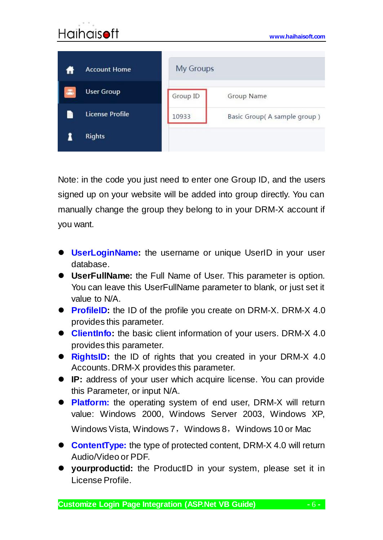### **[www.haihaisoft.com](http://www.haihaisoft.com/) My Groups Account Home User Group** Group ID Group Name **License Profile** R 10933 Basic Group(A sample group) 1 **Rights**

Note: in the code you just need to enter one Group ID, and the users signed up on your website will be added into group directly. You can manually change the group they belong to in your DRM-X account if you want.

- **UserLoginName:** the username or unique UserID in your user database.
- **UserFullName:** the Full Name of User. This parameter is option. You can leave this UserFullName parameter to blank, or just set it value to N/A.
- **ProfileID:** the ID of the profile you create on DRM-X. DRM-X 4.0 provides this parameter.
- **ClientInfo:** the basic client information of your users. DRM-X 4.0 provides this parameter.
- **RightsID:** the ID of rights that you created in your DRM-X 4.0 Accounts. DRM-X provides this parameter.
- **IP:** address of your user which acquire license. You can provide this Parameter, or input N/A.
- **Platform:** the operating system of end user, DRM-X will return value: Windows 2000, Windows Server 2003, Windows XP, Windows Vista, Windows 7, Windows 8, Windows 10 or Mac
- **ContentType:** the type of protected content, DRM-X 4.0 will return Audio/Video or PDF.
- **yourproductid:** the ProductID in your system, please set it in License Profile.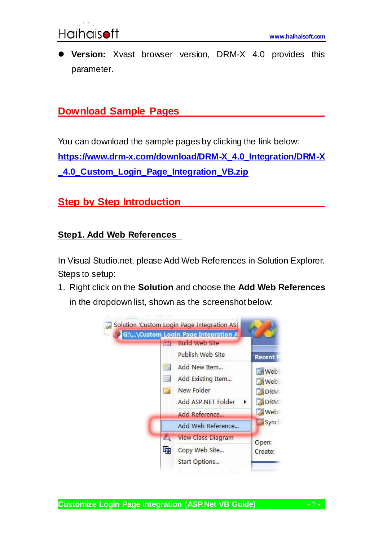

 **Version:** Xvast browser version, DRM-X 4.0 provides this parameter.

### <span id="page-6-0"></span>**Download Sample Pages**

You can download the sample pages by clicking the link below: **[https://www.drm-x.com/download/DRM-X\\_4.0\\_Integration/DRM-X](https://www.drm-x.com/download/DRM-X_4.0_Integration/DRM-X_4.0_Custom_Login_Page_Integration_VB.zip) [\\_4.0\\_Custom\\_Login\\_Page\\_Integration\\_VB.zip](https://www.drm-x.com/download/DRM-X_4.0_Integration/DRM-X_4.0_Custom_Login_Page_Integration_VB.zip)**

## <span id="page-6-1"></span>**<u>Step by Step Introduction</u>**

#### <span id="page-6-2"></span>**Step1. Add Web References**

In Visual Studio.net, please Add Web References in Solution Explorer. Steps to setup:

1. Right click on the **Solution** and choose the **Add Web References** in the dropdown list, shown as the screenshot below:



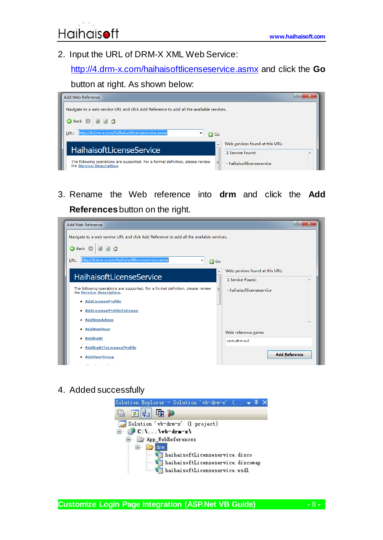2. Input the URL of DRM-X XML Web Service:

<http://4.drm-x.com/haihaisoftlicenseservice.asmx> and click the **Go** 

#### button at right. As shown below:



3. Rename the Web reference into **drm** and click the **Add References** button on the right.



4. Added successfully



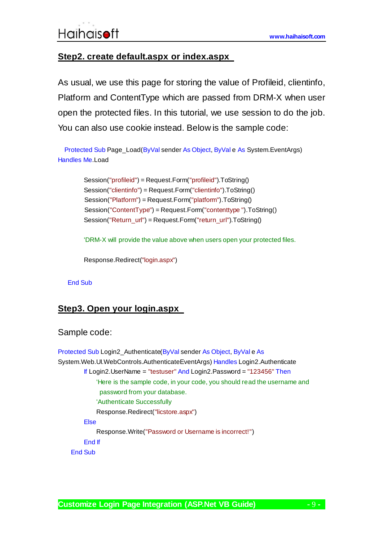#### <span id="page-8-0"></span>**Step2. create default.aspx or index.aspx**

As usual, we use this page for storing the value of Profileid, clientinfo, Platform and ContentType which are passed from DRM-X when user open the protected files. In this tutorial, we use session to do the job. You can also use cookie instead. Below is the sample code:

 Protected Sub Page\_Load(ByVal sender As Object, ByVal e As System.EventArgs) Handles Me.Load

> Session("profileid") = Request.Form("profileid").ToString() Session("clientinfo") = Request.Form("clientinfo").ToString() Session("Platform") = Request.Form("platform").ToString() Session("ContentType") = Request.Form("contenttype ").ToString() Session("Return\_url") = Request.Form("return\_url").ToString()

'DRM-X will provide the value above when users open your protected files.

Response.Redirect("login.aspx")

#### End Sub

#### <span id="page-8-1"></span>**Step3. Open your login.aspx**

#### Sample code:

Protected Sub Login2\_Authenticate(ByVal sender As Object, ByVal e As System.Web.UI.WebControls.AuthenticateEventArgs) Handles Login2.Authenticate If Login2.UserName = "testuser" And Login2.Password = "123456" Then 'Here is the sample code, in your code, you should read the username and password from your database. 'Authenticate Successfully Response.Redirect("licstore.aspx") Else Response.Write("Password or Username is incorrect!") End If End Sub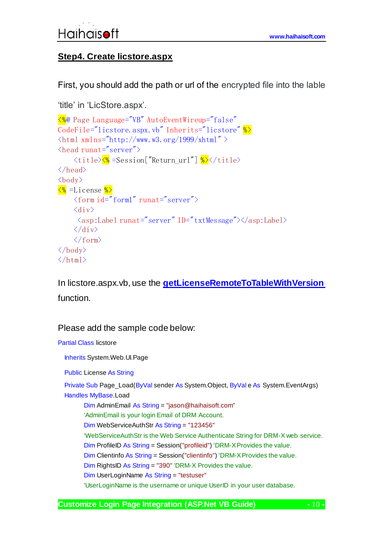#### <span id="page-9-0"></span>**Step4. Create licstore.aspx**

First, you should add the path or url of the encrypted file into the lable

```
'title' in 'LicStore.aspx'.
<%@ Page Language="VB" AutoEventWireup="false"
CodeFile="licstore.aspx.vb" Inherits="licstore" \frac{1}{2}\frac{\text{th}}{\text{m} \cdot \text{m} \cdot \text{m}} xmlns="http://www.w3.org/1999/xhtml" >
\langlehead runat="server">
      <title><% =Session["Return_url"] %>></title>
\langle/head>
\langlehody\rangle\frac{1}{20} =License \frac{1}{20}\langle form id="form1" runat="server">
      \langlediv\rangle\langle \text{asp:Label runat} = \text{server} \text{ID} = \text{txtxtk}Message">\langle \text{asp:Label} \rangle\langle /div>
      \langle / form\rangle\langle/body>
\langle/html\rangle
```
In licstore.aspx.vb, use the **[getLicenseRemoteToTableWithVersion](http://3.drm-x.com/haihaisoftlicenseservice.asmx?op=getLicenseRemoteToTableWithVersion)** function.

#### Please add the sample code below:

```
Partial Class licstore
   Inherits System.Web.UI.Page
   Public License As String 
   Private Sub Page_Load(ByVal sender As System.Object, ByVal e As System.EventArgs) 
  Handles MyBase.Load
         Dim AdminEmail As String = "jason@haihaisoft.com"
         'AdminEmail is your login Email of DRM Account.
         Dim WebServiceAuthStr As String = "123456"
         'WebServiceAuthStr is the Web Service Authenticate String for DRM-X web service. 
         Dim ProfileID As String = Session("profileid") 'DRM-X Provides the value.
         Dim Clientinfo As String = Session("clientinfo") 'DRM-X Provides the value.
         Dim RightsID As String = "390" 'DRM-X Provides the value.
         Dim UserLoginName As String = "testuser"
         'UserLoginName is the username or unique UserID in your user database.
```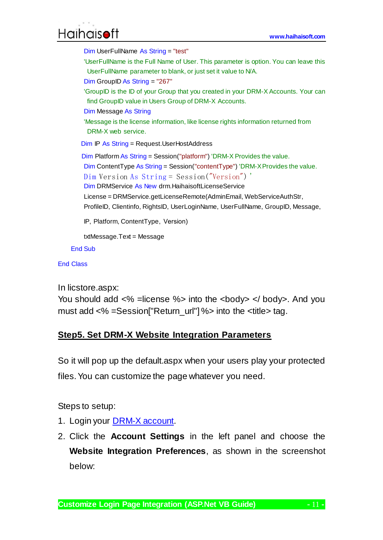# **[www.haihaisoft.com](http://www.haihaisoft.com/)**

```
 Dim UserFullName As String = "test"
 'UserFullName is the Full Name of User. This parameter is option. You can leave this 
 UserFullName parameter to blank, or just set it value to N/A.
 Dim GroupID As String = "267"
 'GroupID is the ID of your Group that you created in your DRM-X Accounts. Your can 
 find GroupID value in Users Group of DRM-X Accounts.
 Dim Message As String
 'Message is the license information, like license rights information returned from 
 DRM-X web service. 
Dim IP As String = Request.UserHostAddress
Dim Platform As String = Session("platform") 'DRM-X Provides the value.
 Dim ContentType As String = Session("contentType") 'DRM-X Provides the value.
Dim Version As String = Session("Version") '
 Dim DRMService As New drm.HaihaisoftLicenseService
 License = DRMService.getLicenseRemote(AdminEmail, WebServiceAuthStr, 
ProfileID, Clientinfo, RightsID, UserLoginName, UserFullName, GroupID, Message, 
IP, Platform, ContentType, Version)
 txtMessage.Text = Message
```
End Sub

End Class

In licstore.aspx:

You should add  $\langle\% \rangle$  =license %> into the  $\langle\text{body}\rangle \langle\% \rangle$  body>. And you must add <% =Session["Return\_url"] %> into the <title> tag.

#### <span id="page-10-0"></span>**Step5. Set DRM-X Website Integration Parameters**

So it will pop up the default.aspx when your users play your protected files. You can customize the page whatever you need.

Steps to setup:

- 1. Login your **DRM-X** account.
- 2. Click the **Account Settings** in the left panel and choose the **Website Integration Preferences**, as shown in the screenshot below: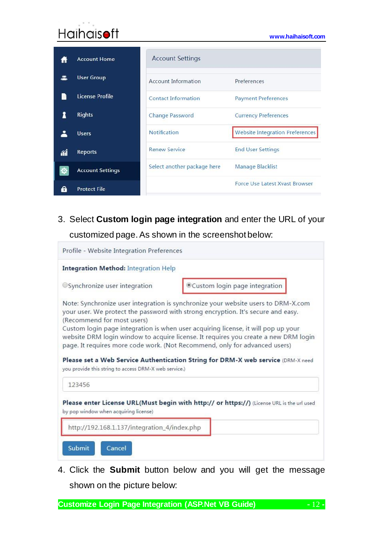# **[www.haihaisoft.com](http://www.haihaisoft.com/)**

|    | <b>Account Home</b>     | <b>Account Settings</b>     |                                        |
|----|-------------------------|-----------------------------|----------------------------------------|
|    | <b>User Group</b>       | Account Information         | Preferences                            |
|    | License Profile         | <b>Contact Information</b>  | <b>Payment Preferences</b>             |
|    | <b>Rights</b>           | <b>Change Password</b>      | <b>Currency Preferences</b>            |
|    | <b>Users</b>            | <b>Notification</b>         | <b>Website Integration Preferences</b> |
| ЛĨ | Reports                 | <b>Renew Service</b>        | <b>End User Settings</b>               |
|    | <b>Account Settings</b> | Select another package here | Manage Blacklist                       |
|    | <b>Protect File</b>     |                             | <b>Force Use Latest Xvast Browser</b>  |

3. Select **Custom login page integration** and enter the URL of your customized page. As shown in the screenshot below:

| <b>Integration Method: Integration Help</b>                                                    |                                                                                                                                                                                                                                                            |
|------------------------------------------------------------------------------------------------|------------------------------------------------------------------------------------------------------------------------------------------------------------------------------------------------------------------------------------------------------------|
| OSynchronize user integration                                                                  | Custom login page integration                                                                                                                                                                                                                              |
| (Recommend for most users)                                                                     | Note: Synchronize user integration is synchronize your website users to DRM-X.com<br>your user. We protect the password with strong encryption. It's secure and easy.<br>Custom login page integration is when user acquiring license, it will pop up your |
|                                                                                                | page. It requires more code work. (Not Recommend, only for advanced users)                                                                                                                                                                                 |
| 123456                                                                                         | website DRM login window to acquire license. It requires you create a new DRM login<br>Please set a Web Service Authentication String for DRM-X web service (DRM-X need                                                                                    |
| you provide this string to access DRM-X web service.)<br>by pop window when acquiring license) | Please enter License URL(Must begin with http:// or https://) (License URL is the url used                                                                                                                                                                 |

4. Click the **Submit** button below and you will get the message shown on the picture below:

**Customize Login Page Integration (ASP.Net VB Guide) -** 12 **-**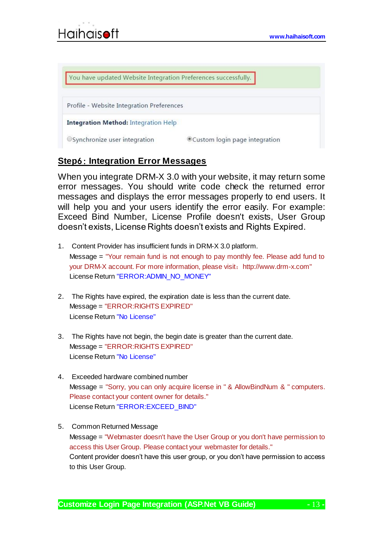| You have updated Website Integration Preferences successfully. |                               |
|----------------------------------------------------------------|-------------------------------|
|                                                                |                               |
| Profile - Website Integration Preferences                      |                               |
| <b>Integration Method: Integration Help</b>                    |                               |
| OSynchronize user integration                                  | Custom login page integration |

#### <span id="page-12-0"></span>**Step**6: **Integration Error Messages**

When you integrate DRM-X 3.0 with your website, it may return some error messages. You should write code check the returned error messages and displays the error messages properly to end users. It will help you and your users identify the error easily. For example: Exceed Bind Number, License Profile doesn't exists, User Group doesn't exists, License Rights doesn't exists and Rights Expired.

- 1. Content Provider has insufficient funds in DRM-X 3.0 platform. Message = "Your remain fund is not enough to pay monthly fee. Please add fund to your DRM-X account. For more information, please visit: http://www.drm-x.com" License Return "ERROR: ADMIN\_NO\_MONEY"
- 2. The Rights have expired, the expiration date is less than the current date. Message = "ERROR:RIGHTS EXPIRED" License Return "No License"
- 3. The Rights have not begin, the begin date is greater than the current date. Message = "ERROR:RIGHTS EXPIRED" License Return "No License"
- 4. Exceeded hardware combined number Message = "Sorry, you can only acquire license in " & AllowBindNum & " computers. Please contact your content owner for details." License Return "ERROR:EXCEED\_BIND"
- 5. Common Returned Message Message = "Webmaster doesn't have the User Group or you don't have permission to access this User Group. Please contact your webmaster for details." Content provider doesn't have this user group, or you don't have permission to access to this User Group.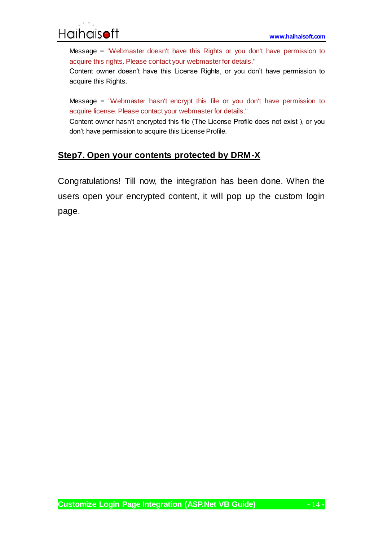

Message = "Webmaster doesn't have this Rights or you don't have permission to acquire this rights. Please contact your webmaster for details."

Content owner doesn't have this License Rights, or you don't have permission to acquire this Rights.

Message = "Webmaster hasn't encrypt this file or you don't have permission to acquire license. Please contact your webmaster for details."

Content owner hasn't encrypted this file (The License Profile does not exist ), or you don't have permission to acquire this License Profile.

#### <span id="page-13-0"></span>**Step7. Open your contents protected by DRM-X**

Congratulations! Till now, the integration has been done. When the users open your encrypted content, it will pop up the custom login page.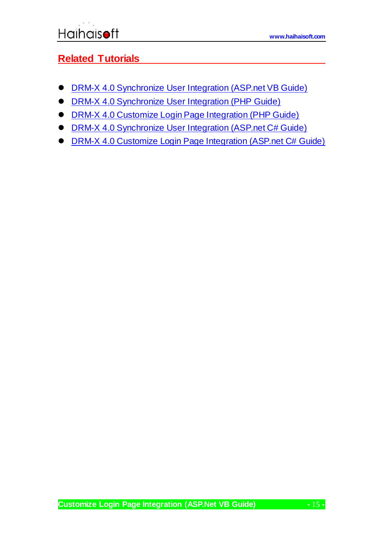## <span id="page-14-0"></span>**Related Tutorials**

- **[DRM-X 4.0 Synchronize User Integration \(ASP.net VB Guide\)](https://www.drm-x.com/download/DRM-X_4.0_Integration/DRM-X_4.0_Synchronize_User_Integration_VB.pdf)**
- **[DRM-X 4.0 Synchronize User Integration \(PHP Guide\)](https://www.drm-x.com/download/DRM-X_4.0_Integration/DRM-X_4.0_Synchronize_User_Integration_PHP.zip)**
- [DRM-X 4.0 Customize Login Page Integration \(PHP Guide\)](https://www.drm-x.com/download/DRM-X_4.0_Integration/DRM-X_4.0_Custom_Login_Page_Integration_PHP.zip)
- **[DRM-X 4.0 Synchronize User Integration \(ASP.net C# Guide\)](https://www.drm-x.com/download/DRM-X_4.0_Integration/DRM-X_4.0_Synchronize_User_Integration_C.pdf)**
- **[DRM-X 4.0 Customize Login Page Integration \(ASP.net C# Guide\)](https://www.drm-x.com/download/DRM-X_4.0_Integration/DRM-X_4.0_Custom_Login_Page_Integration_C.pdf)**